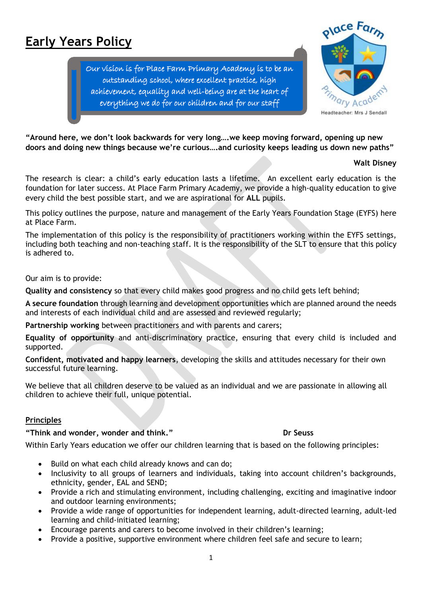# **Early Years Policy**

Our vision is for Place Farm Primary Academy is to be an outstanding school, where excellent practice, high achievement, equality and well-being are at the heart of everything we do for our children and for our staff



**"Around here, we don't look backwards for very long….we keep moving forward, opening up new doors and doing new things because we're curious….and curiosity keeps leading us down new paths"** 

### **Walt Disney**

The research is clear: a child's early education lasts a lifetime. An excellent early education is the foundation for later success. At Place Farm Primary Academy, we provide a high-quality education to give every child the best possible start, and we are aspirational for **ALL** pupils.

This policy outlines the purpose, nature and management of the Early Years Foundation Stage (EYFS) here at Place Farm.

The implementation of this policy is the responsibility of practitioners working within the EYFS settings, including both teaching and non-teaching staff. It is the responsibility of the SLT to ensure that this policy is adhered to.

Our aim is to provide:

**Quality and consistency** so that every child makes good progress and no child gets left behind;

**A secure foundation** through learning and development opportunities which are planned around the needs and interests of each individual child and are assessed and reviewed regularly;

**Partnership working** between practitioners and with parents and carers;

**Equality of opportunity** and anti-discriminatory practice, ensuring that every child is included and supported.

**Confident, motivated and happy learners**, developing the skills and attitudes necessary for their own successful future learning.

We believe that all children deserve to be valued as an individual and we are passionate in allowing all children to achieve their full, unique potential.

# **Principles**

**"Think and wonder, wonder and think." Dr Seuss**

Within Early Years education we offer our children learning that is based on the following principles:

- Build on what each child already knows and can do;
- Inclusivity to all groups of learners and individuals, taking into account children's backgrounds, ethnicity, gender, EAL and SEND;
- Provide a rich and stimulating environment, including challenging, exciting and imaginative indoor and outdoor learning environments;
- Provide a wide range of opportunities for independent learning, adult-directed learning, adult-led learning and child-initiated learning;
- Encourage parents and carers to become involved in their children's learning;
- Provide a positive, supportive environment where children feel safe and secure to learn;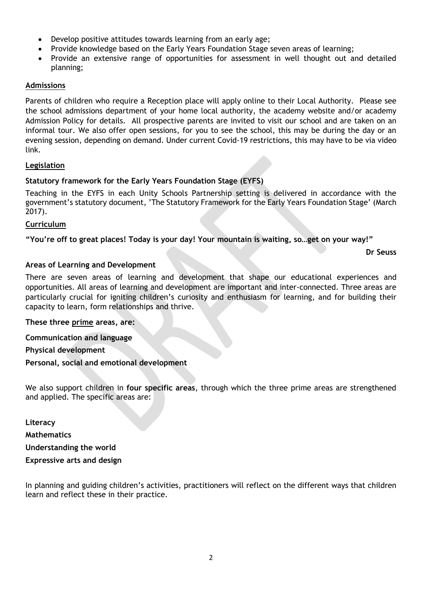- Develop positive attitudes towards learning from an early age;
- Provide knowledge based on the Early Years Foundation Stage seven areas of learning;
- Provide an extensive range of opportunities for assessment in well thought out and detailed planning;

# **Admissions**

Parents of children who require a Reception place will apply online to their Local Authority. Please see the school admissions department of your home local authority, the academy website and/or academy Admission Policy for details. All prospective parents are invited to visit our school and are taken on an informal tour. We also offer open sessions, for you to see the school, this may be during the day or an evening session, depending on demand. Under current Covid-19 restrictions, this may have to be via video link.

# **Legislation**

# **Statutory framework for the Early Years Foundation Stage (EYFS)**

Teaching in the EYFS in each Unity Schools Partnership setting is delivered in accordance with the government's statutory document, 'The Statutory Framework for the Early Years Foundation Stage' (March 2017).

# **Curriculum**

**"You're off to great places! Today is your day! Your mountain is waiting, so…get on your way!"**

**Dr Seuss**

# **Areas of Learning and Development**

There are seven areas of learning and development that shape our educational experiences and opportunities. All areas of learning and development are important and inter-connected. Three areas are particularly crucial for igniting children's curiosity and enthusiasm for learning, and for building their capacity to learn, form relationships and thrive.

# **These three prime areas, are:**

**Communication and language** 

**Physical development** 

**Personal, social and emotional development** 

We also support children in **four specific areas**, through which the three prime areas are strengthened and applied. The specific areas are:

**Literacy Mathematics** 

**Understanding the world** 

**Expressive arts and design** 

In planning and guiding children's activities, practitioners will reflect on the different ways that children learn and reflect these in their practice.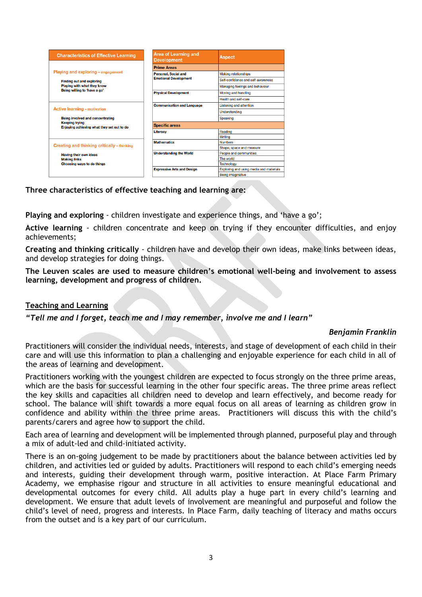| <b>Characteristics of Effective Learning</b>                                                                                                          | Area of Learning and<br><b>Development</b>                  | <b>Aspect</b>                           |
|-------------------------------------------------------------------------------------------------------------------------------------------------------|-------------------------------------------------------------|-----------------------------------------|
| Playing and exploring - engagement<br><b>Finding out and exploring</b><br>Playing with what they know<br>Being willing to 'have a go'                 | <b>Prime Areas</b>                                          |                                         |
|                                                                                                                                                       | <b>Personal, Social and</b><br><b>Emotional Development</b> | <b>Making relationships</b>             |
|                                                                                                                                                       |                                                             | Self-confidence and self-awareness      |
|                                                                                                                                                       |                                                             | Managing feelings and behaviour         |
|                                                                                                                                                       | <b>Physical Development</b>                                 | Moving and handling                     |
|                                                                                                                                                       |                                                             | Health and self-care                    |
| <b>Active learning - motivation</b><br><b>Being involved and concentrating</b><br><b>Keeping trying</b><br>Enjoying achieving what they set out to do | <b>Communication and Language</b>                           | <b>Listening and attention</b>          |
|                                                                                                                                                       |                                                             | Understanding                           |
|                                                                                                                                                       |                                                             | Speaking                                |
|                                                                                                                                                       | <b>Specific areas</b>                                       |                                         |
|                                                                                                                                                       | <b>Literacy</b>                                             | Reading                                 |
|                                                                                                                                                       |                                                             | Writing                                 |
| Creating and thinking critically - thinking<br>Having their own ideas<br><b>Making links</b><br>Choosing ways to do things                            | <b>Mathematics</b>                                          | <b>Numbers</b>                          |
|                                                                                                                                                       |                                                             | Shape, space and measure                |
|                                                                                                                                                       | <b>Understanding the World</b>                              | People and communities                  |
|                                                                                                                                                       |                                                             | The world                               |
|                                                                                                                                                       |                                                             | <b>Technology</b>                       |
|                                                                                                                                                       | <b>Expressive Arts and Design</b>                           | Exploring and using media and materials |
|                                                                                                                                                       |                                                             | Being imaginative                       |

**Three characteristics of effective teaching and learning are:** 

**Playing and exploring** - children investigate and experience things, and 'have a go';

**Active learning** - children concentrate and keep on trying if they encounter difficulties, and enjoy achievements;

**Creating and thinking critically** - children have and develop their own ideas, make links between ideas, and develop strategies for doing things.

**The Leuven scales are used to measure children's emotional well-being and involvement to assess learning, development and progress of children.**

#### **Teaching and Learning**

*"Tell me and I forget, teach me and I may remember, involve me and I learn"*

#### *Benjamin Franklin*

Practitioners will consider the individual needs, interests, and stage of development of each child in their care and will use this information to plan a challenging and enjoyable experience for each child in all of the areas of learning and development.

Practitioners working with the youngest children are expected to focus strongly on the three prime areas, which are the basis for successful learning in the other four specific areas. The three prime areas reflect the key skills and capacities all children need to develop and learn effectively, and become ready for school. The balance will shift towards a more equal focus on all areas of learning as children grow in confidence and ability within the three prime areas. Practitioners will discuss this with the child's parents/carers and agree how to support the child.

Each area of learning and development will be implemented through planned, purposeful play and through a mix of adult-led and child-initiated activity.

There is an on-going judgement to be made by practitioners about the balance between activities led by children, and activities led or guided by adults. Practitioners will respond to each child's emerging needs and interests, guiding their development through warm, positive interaction. At Place Farm Primary Academy, we emphasise rigour and structure in all activities to ensure meaningful educational and developmental outcomes for every child. All adults play a huge part in every child's learning and development. We ensure that adult levels of involvement are meaningful and purposeful and follow the child's level of need, progress and interests. In Place Farm, daily teaching of literacy and maths occurs from the outset and is a key part of our curriculum.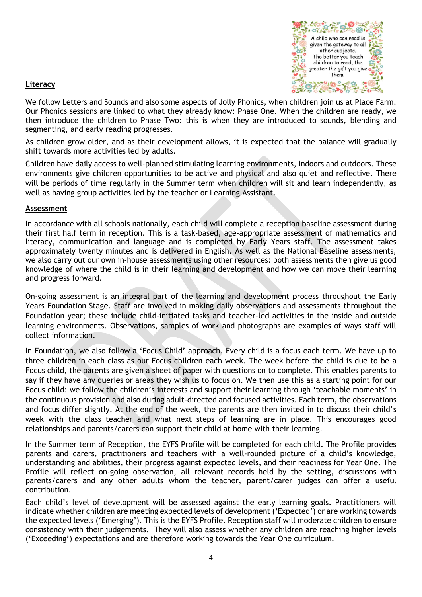

### **Literacy**

We follow Letters and Sounds and also some aspects of Jolly Phonics, when children join us at Place Farm. Our Phonics sessions are linked to what they already know: Phase One. When the children are ready, we then introduce the children to Phase Two: this is when they are introduced to sounds, blending and segmenting, and early reading progresses.

As children grow older, and as their development allows, it is expected that the balance will gradually shift towards more activities led by adults.

Children have daily access to well-planned stimulating learning environments, indoors and outdoors. These environments give children opportunities to be active and physical and also quiet and reflective. There will be periods of time regularly in the Summer term when children will sit and learn independently, as well as having group activities led by the teacher or Learning Assistant.

### **Assessment**

In accordance with all schools nationally, each child will complete a reception baseline assessment during their first half term in reception. This is a task-based, age-appropriate assessment of mathematics and literacy, communication and language and is completed by Early Years staff. The assessment takes approximately twenty minutes and is delivered in English. As well as the National Baseline assessments, we also carry out our own in-house assessments using other resources: both assessments then give us good knowledge of where the child is in their learning and development and how we can move their learning and progress forward.

On-going assessment is an integral part of the learning and development process throughout the Early Years Foundation Stage. Staff are involved in making daily observations and assessments throughout the Foundation year; these include child-initiated tasks and teacher-led activities in the inside and outside learning environments. Observations, samples of work and photographs are examples of ways staff will collect information.

In Foundation, we also follow a 'Focus Child' approach. Every child is a focus each term. We have up to three children in each class as our Focus children each week. The week before the child is due to be a Focus child, the parents are given a sheet of paper with questions on to complete. This enables parents to say if they have any queries or areas they wish us to focus on. We then use this as a starting point for our Focus child: we follow the children's interests and support their learning through 'teachable moments' in the continuous provision and also during adult-directed and focused activities. Each term, the observations and focus differ slightly. At the end of the week, the parents are then invited in to discuss their child's week with the class teacher and what next steps of learning are in place. This encourages good relationships and parents/carers can support their child at home with their learning.

In the Summer term of Reception, the EYFS Profile will be completed for each child. The Profile provides parents and carers, practitioners and teachers with a well-rounded picture of a child's knowledge, understanding and abilities, their progress against expected levels, and their readiness for Year One. The Profile will reflect on-going observation, all relevant records held by the setting, discussions with parents/carers and any other adults whom the teacher, parent/carer judges can offer a useful contribution.

Each child's level of development will be assessed against the early learning goals. Practitioners will indicate whether children are meeting expected levels of development ('Expected') or are working towards the expected levels ('Emerging'). This is the EYFS Profile. Reception staff will moderate children to ensure consistency with their judgements. They will also assess whether any children are reaching higher levels ('Exceeding') expectations and are therefore working towards the Year One curriculum.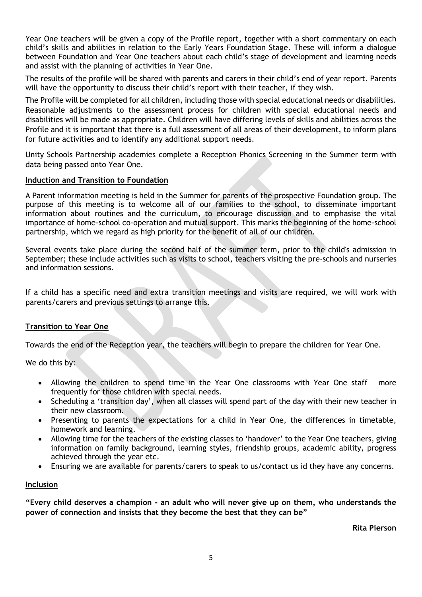Year One teachers will be given a copy of the Profile report, together with a short commentary on each child's skills and abilities in relation to the Early Years Foundation Stage. These will inform a dialogue between Foundation and Year One teachers about each child's stage of development and learning needs and assist with the planning of activities in Year One.

The results of the profile will be shared with parents and carers in their child's end of year report. Parents will have the opportunity to discuss their child's report with their teacher, if they wish.

The Profile will be completed for all children, including those with special educational needs or disabilities. Reasonable adjustments to the assessment process for children with special educational needs and disabilities will be made as appropriate. Children will have differing levels of skills and abilities across the Profile and it is important that there is a full assessment of all areas of their development, to inform plans for future activities and to identify any additional support needs.

Unity Schools Partnership academies complete a Reception Phonics Screening in the Summer term with data being passed onto Year One.

## **Induction and Transition to Foundation**

A Parent information meeting is held in the Summer for parents of the prospective Foundation group. The purpose of this meeting is to welcome all of our families to the school, to disseminate important information about routines and the curriculum, to encourage discussion and to emphasise the vital importance of home-school co-operation and mutual support. This marks the beginning of the home-school partnership, which we regard as high priority for the benefit of all of our children.

Several events take place during the second half of the summer term, prior to the child's admission in September; these include activities such as visits to school, teachers visiting the pre-schools and nurseries and information sessions.

If a child has a specific need and extra transition meetings and visits are required, we will work with parents/carers and previous settings to arrange this.

# **Transition to Year One**

Towards the end of the Reception year, the teachers will begin to prepare the children for Year One.

We do this by:

- Allowing the children to spend time in the Year One classrooms with Year One staff more frequently for those children with special needs.
- Scheduling a 'transition day', when all classes will spend part of the day with their new teacher in their new classroom.
- Presenting to parents the expectations for a child in Year One, the differences in timetable, homework and learning.
- Allowing time for the teachers of the existing classes to 'handover' to the Year One teachers, giving information on family background, learning styles, friendship groups, academic ability, progress achieved through the year etc.
- Ensuring we are available for parents/carers to speak to us/contact us id they have any concerns.

### **Inclusion**

**"Every child deserves a champion - an adult who will never give up on them, who understands the power of connection and insists that they become the best that they can be"**

**Rita Pierson**